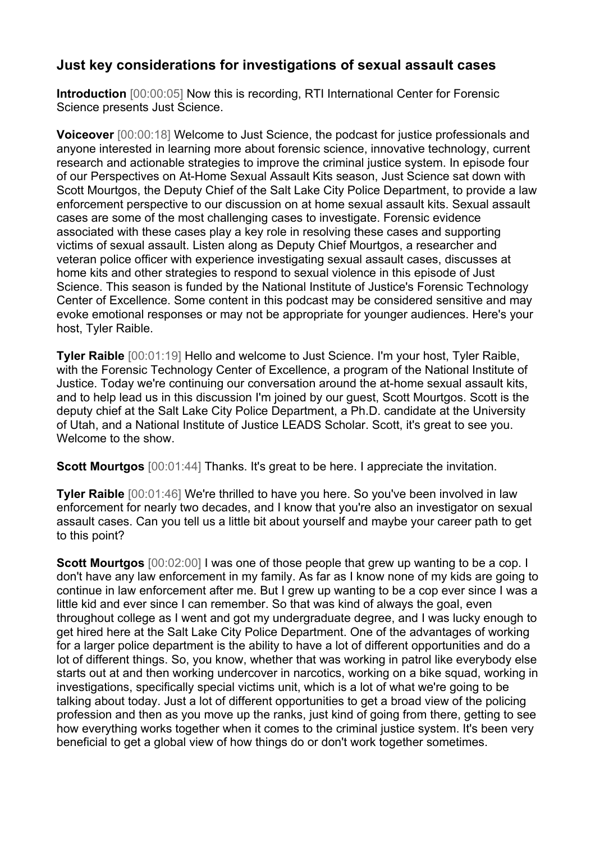## **Just key considerations for investigations of sexual assault cases**

**Introduction** [00:00:05] Now this is recording, RTI International Center for Forensic Science presents Just Science.

**Voiceover** [00:00:18] Welcome to Just Science, the podcast for justice professionals and anyone interested in learning more about forensic science, innovative technology, current research and actionable strategies to improve the criminal justice system. In episode four of our Perspectives on At-Home Sexual Assault Kits season, Just Science sat down with Scott Mourtgos, the Deputy Chief of the Salt Lake City Police Department, to provide a law enforcement perspective to our discussion on at home sexual assault kits. Sexual assault cases are some of the most challenging cases to investigate. Forensic evidence associated with these cases play a key role in resolving these cases and supporting victims of sexual assault. Listen along as Deputy Chief Mourtgos, a researcher and veteran police officer with experience investigating sexual assault cases, discusses at home kits and other strategies to respond to sexual violence in this episode of Just Science. This season is funded by the National Institute of Justice's Forensic Technology Center of Excellence. Some content in this podcast may be considered sensitive and may evoke emotional responses or may not be appropriate for younger audiences. Here's your host, Tyler Raible.

**Tyler Raible** [00:01:19] Hello and welcome to Just Science. I'm your host, Tyler Raible, with the Forensic Technology Center of Excellence, a program of the National Institute of Justice. Today we're continuing our conversation around the at-home sexual assault kits, and to help lead us in this discussion I'm joined by our guest, Scott Mourtgos. Scott is the deputy chief at the Salt Lake City Police Department, a Ph.D. candidate at the University of Utah, and a National Institute of Justice LEADS Scholar. Scott, it's great to see you. Welcome to the show.

**Scott Mourtgos**  $[00:01:44]$  Thanks. It's great to be here. I appreciate the invitation.

**Tyler Raible** [00:01:46] We're thrilled to have you here. So you've been involved in law enforcement for nearly two decades, and I know that you're also an investigator on sexual assault cases. Can you tell us a little bit about yourself and maybe your career path to get to this point?

**Scott Mourtgos**  $[00:02:00]$  I was one of those people that grew up wanting to be a cop. I don't have any law enforcement in my family. As far as I know none of my kids are going to continue in law enforcement after me. But I grew up wanting to be a cop ever since I was a little kid and ever since I can remember. So that was kind of always the goal, even throughout college as I went and got my undergraduate degree, and I was lucky enough to get hired here at the Salt Lake City Police Department. One of the advantages of working for a larger police department is the ability to have a lot of different opportunities and do a lot of different things. So, you know, whether that was working in patrol like everybody else starts out at and then working undercover in narcotics, working on a bike squad, working in investigations, specifically special victims unit, which is a lot of what we're going to be talking about today. Just a lot of different opportunities to get a broad view of the policing profession and then as you move up the ranks, just kind of going from there, getting to see how everything works together when it comes to the criminal justice system. It's been very beneficial to get a global view of how things do or don't work together sometimes.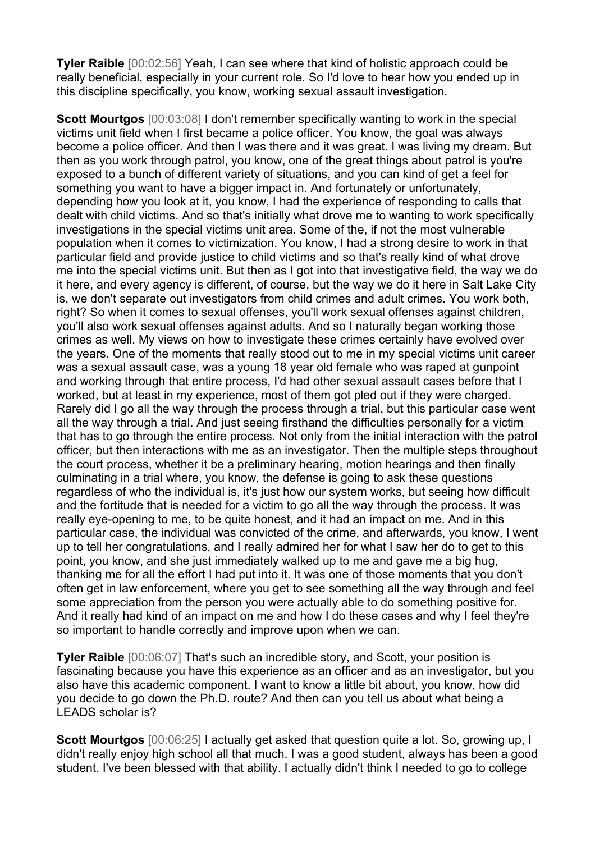**Tyler Raible** [00:02:56] Yeah, I can see where that kind of holistic approach could be really beneficial, especially in your current role. So I'd love to hear how you ended up in this discipline specifically, you know, working sexual assault investigation.

**Scott Mourtgos**  $[00:03:08]$  I don't remember specifically wanting to work in the special victims unit field when I first became a police officer. You know, the goal was always become a police officer. And then I was there and it was great. I was living my dream. But then as you work through patrol, you know, one of the great things about patrol is you're exposed to a bunch of different variety of situations, and you can kind of get a feel for something you want to have a bigger impact in. And fortunately or unfortunately, depending how you look at it, you know, I had the experience of responding to calls that dealt with child victims. And so that's initially what drove me to wanting to work specifically investigations in the special victims unit area. Some of the, if not the most vulnerable population when it comes to victimization. You know, I had a strong desire to work in that particular field and provide justice to child victims and so that's really kind of what drove me into the special victims unit. But then as I got into that investigative field, the way we do it here, and every agency is different, of course, but the way we do it here in Salt Lake City is, we don't separate out investigators from child crimes and adult crimes. You work both, right? So when it comes to sexual offenses, you'll work sexual offenses against children, you'll also work sexual offenses against adults. And so I naturally began working those crimes as well. My views on how to investigate these crimes certainly have evolved over the years. One of the moments that really stood out to me in my special victims unit career was a sexual assault case, was a young 18 year old female who was raped at gunpoint and working through that entire process, I'd had other sexual assault cases before that I worked, but at least in my experience, most of them got pled out if they were charged. Rarely did I go all the way through the process through a trial, but this particular case went all the way through a trial. And just seeing firsthand the difficulties personally for a victim that has to go through the entire process. Not only from the initial interaction with the patrol officer, but then interactions with me as an investigator. Then the multiple steps throughout the court process, whether it be a preliminary hearing, motion hearings and then finally culminating in a trial where, you know, the defense is going to ask these questions regardless of who the individual is, it's just how our system works, but seeing how difficult and the fortitude that is needed for a victim to go all the way through the process. It was really eye-opening to me, to be quite honest, and it had an impact on me. And in this particular case, the individual was convicted of the crime, and afterwards, you know, I went up to tell her congratulations, and I really admired her for what I saw her do to get to this point, you know, and she just immediately walked up to me and gave me a big hug, thanking me for all the effort I had put into it. It was one of those moments that you don't often get in law enforcement, where you get to see something all the way through and feel some appreciation from the person you were actually able to do something positive for. And it really had kind of an impact on me and how I do these cases and why I feel they're so important to handle correctly and improve upon when we can.

**Tyler Raible** [00:06:07] That's such an incredible story, and Scott, your position is fascinating because you have this experience as an officer and as an investigator, but you also have this academic component. I want to know a little bit about, you know, how did you decide to go down the Ph.D. route? And then can you tell us about what being a LEADS scholar is?

**Scott Mourtgos**  $[00:06:25]$  I actually get asked that question quite a lot. So, growing up, I didn't really enjoy high school all that much. I was a good student, always has been a good student. I've been blessed with that ability. I actually didn't think I needed to go to college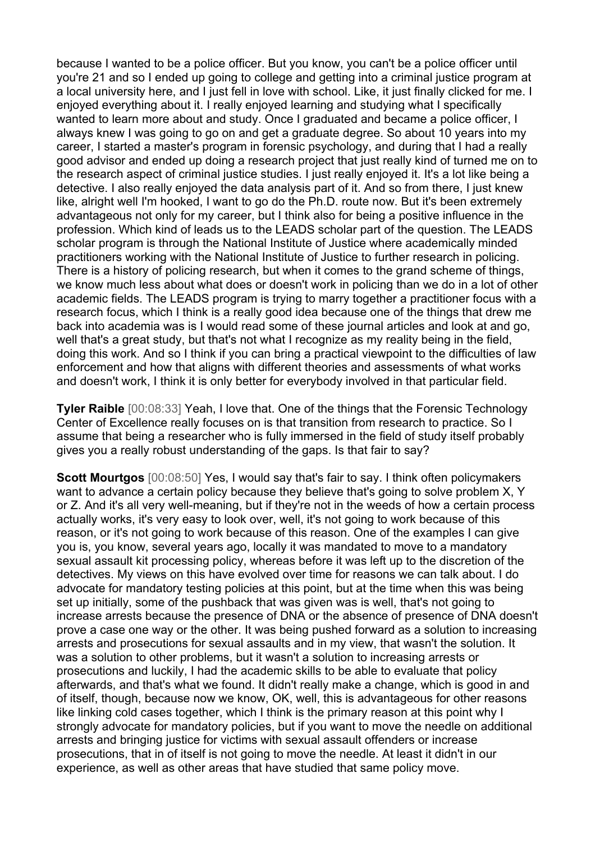because I wanted to be a police officer. But you know, you can't be a police officer until you're 21 and so I ended up going to college and getting into a criminal justice program at a local university here, and I just fell in love with school. Like, it just finally clicked for me. I enjoyed everything about it. I really enjoyed learning and studying what I specifically wanted to learn more about and study. Once I graduated and became a police officer, I always knew I was going to go on and get a graduate degree. So about 10 years into my career, I started a master's program in forensic psychology, and during that I had a really good advisor and ended up doing a research project that just really kind of turned me on to the research aspect of criminal justice studies. I just really enjoyed it. It's a lot like being a detective. I also really enjoyed the data analysis part of it. And so from there, I just knew like, alright well I'm hooked, I want to go do the Ph.D. route now. But it's been extremely advantageous not only for my career, but I think also for being a positive influence in the profession. Which kind of leads us to the LEADS scholar part of the question. The LEADS scholar program is through the National Institute of Justice where academically minded practitioners working with the National Institute of Justice to further research in policing. There is a history of policing research, but when it comes to the grand scheme of things, we know much less about what does or doesn't work in policing than we do in a lot of other academic fields. The LEADS program is trying to marry together a practitioner focus with a research focus, which I think is a really good idea because one of the things that drew me back into academia was is I would read some of these journal articles and look at and go, well that's a great study, but that's not what I recognize as my reality being in the field, doing this work. And so I think if you can bring a practical viewpoint to the difficulties of law enforcement and how that aligns with different theories and assessments of what works and doesn't work, I think it is only better for everybody involved in that particular field.

**Tyler Raible** [00:08:33] Yeah, I love that. One of the things that the Forensic Technology Center of Excellence really focuses on is that transition from research to practice. So I assume that being a researcher who is fully immersed in the field of study itself probably gives you a really robust understanding of the gaps. Is that fair to say?

**Scott Mourtgos** [00:08:50] Yes, I would say that's fair to say. I think often policymakers want to advance a certain policy because they believe that's going to solve problem X, Y or Z. And it's all very well-meaning, but if they're not in the weeds of how a certain process actually works, it's very easy to look over, well, it's not going to work because of this reason, or it's not going to work because of this reason. One of the examples I can give you is, you know, several years ago, locally it was mandated to move to a mandatory sexual assault kit processing policy, whereas before it was left up to the discretion of the detectives. My views on this have evolved over time for reasons we can talk about. I do advocate for mandatory testing policies at this point, but at the time when this was being set up initially, some of the pushback that was given was is well, that's not going to increase arrests because the presence of DNA or the absence of presence of DNA doesn't prove a case one way or the other. It was being pushed forward as a solution to increasing arrests and prosecutions for sexual assaults and in my view, that wasn't the solution. It was a solution to other problems, but it wasn't a solution to increasing arrests or prosecutions and luckily, I had the academic skills to be able to evaluate that policy afterwards, and that's what we found. It didn't really make a change, which is good in and of itself, though, because now we know, OK, well, this is advantageous for other reasons like linking cold cases together, which I think is the primary reason at this point why I strongly advocate for mandatory policies, but if you want to move the needle on additional arrests and bringing justice for victims with sexual assault offenders or increase prosecutions, that in of itself is not going to move the needle. At least it didn't in our experience, as well as other areas that have studied that same policy move.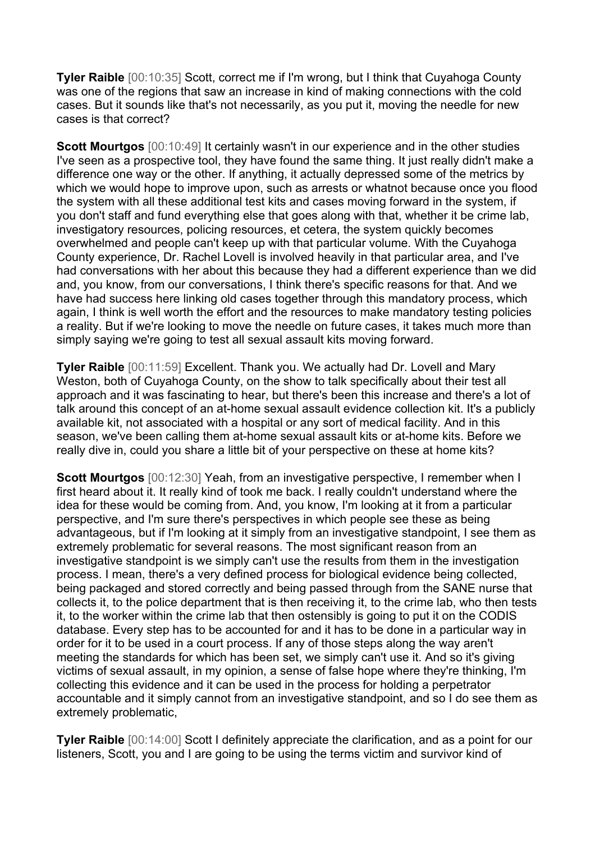**Tyler Raible** [00:10:35] Scott, correct me if I'm wrong, but I think that Cuyahoga County was one of the regions that saw an increase in kind of making connections with the cold cases. But it sounds like that's not necessarily, as you put it, moving the needle for new cases is that correct?

**Scott Mourtgos** [00:10:49] It certainly wasn't in our experience and in the other studies I've seen as a prospective tool, they have found the same thing. It just really didn't make a difference one way or the other. If anything, it actually depressed some of the metrics by which we would hope to improve upon, such as arrests or whatnot because once you flood the system with all these additional test kits and cases moving forward in the system, if you don't staff and fund everything else that goes along with that, whether it be crime lab, investigatory resources, policing resources, et cetera, the system quickly becomes overwhelmed and people can't keep up with that particular volume. With the Cuyahoga County experience, Dr. Rachel Lovell is involved heavily in that particular area, and I've had conversations with her about this because they had a different experience than we did and, you know, from our conversations, I think there's specific reasons for that. And we have had success here linking old cases together through this mandatory process, which again, I think is well worth the effort and the resources to make mandatory testing policies a reality. But if we're looking to move the needle on future cases, it takes much more than simply saying we're going to test all sexual assault kits moving forward.

**Tyler Raible** [00:11:59] Excellent. Thank you. We actually had Dr. Lovell and Mary Weston, both of Cuyahoga County, on the show to talk specifically about their test all approach and it was fascinating to hear, but there's been this increase and there's a lot of talk around this concept of an at-home sexual assault evidence collection kit. It's a publicly available kit, not associated with a hospital or any sort of medical facility. And in this season, we've been calling them at-home sexual assault kits or at-home kits. Before we really dive in, could you share a little bit of your perspective on these at home kits?

**Scott Mourtgos** [00:12:30] Yeah, from an investigative perspective, I remember when I first heard about it. It really kind of took me back. I really couldn't understand where the idea for these would be coming from. And, you know, I'm looking at it from a particular perspective, and I'm sure there's perspectives in which people see these as being advantageous, but if I'm looking at it simply from an investigative standpoint, I see them as extremely problematic for several reasons. The most significant reason from an investigative standpoint is we simply can't use the results from them in the investigation process. I mean, there's a very defined process for biological evidence being collected, being packaged and stored correctly and being passed through from the SANE nurse that collects it, to the police department that is then receiving it, to the crime lab, who then tests it, to the worker within the crime lab that then ostensibly is going to put it on the CODIS database. Every step has to be accounted for and it has to be done in a particular way in order for it to be used in a court process. If any of those steps along the way aren't meeting the standards for which has been set, we simply can't use it. And so it's giving victims of sexual assault, in my opinion, a sense of false hope where they're thinking, I'm collecting this evidence and it can be used in the process for holding a perpetrator accountable and it simply cannot from an investigative standpoint, and so I do see them as extremely problematic,

**Tyler Raible** [00:14:00] Scott I definitely appreciate the clarification, and as a point for our listeners, Scott, you and I are going to be using the terms victim and survivor kind of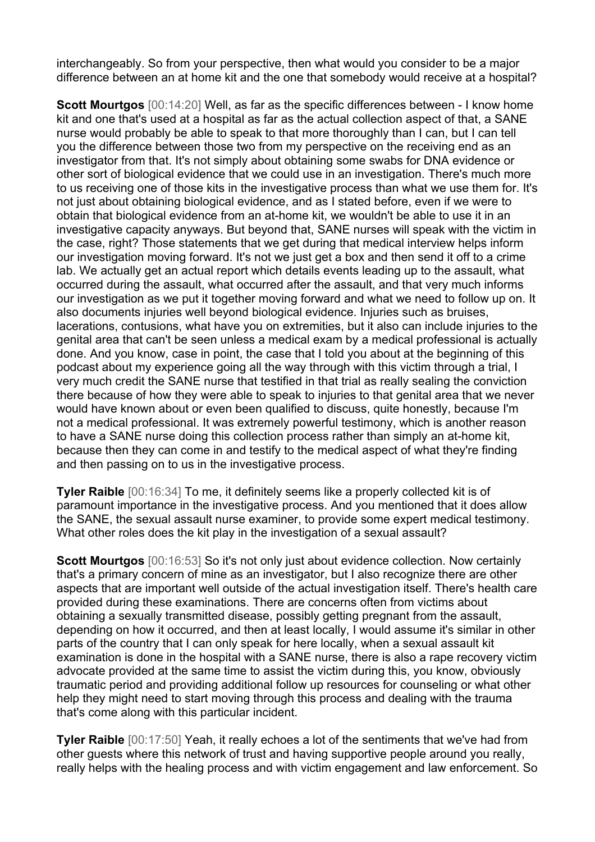interchangeably. So from your perspective, then what would you consider to be a major difference between an at home kit and the one that somebody would receive at a hospital?

**Scott Mourtgos** [00:14:20] Well, as far as the specific differences between - I know home kit and one that's used at a hospital as far as the actual collection aspect of that, a SANE nurse would probably be able to speak to that more thoroughly than I can, but I can tell you the difference between those two from my perspective on the receiving end as an investigator from that. It's not simply about obtaining some swabs for DNA evidence or other sort of biological evidence that we could use in an investigation. There's much more to us receiving one of those kits in the investigative process than what we use them for. It's not just about obtaining biological evidence, and as I stated before, even if we were to obtain that biological evidence from an at-home kit, we wouldn't be able to use it in an investigative capacity anyways. But beyond that, SANE nurses will speak with the victim in the case, right? Those statements that we get during that medical interview helps inform our investigation moving forward. It's not we just get a box and then send it off to a crime lab. We actually get an actual report which details events leading up to the assault, what occurred during the assault, what occurred after the assault, and that very much informs our investigation as we put it together moving forward and what we need to follow up on. It also documents injuries well beyond biological evidence. Injuries such as bruises, lacerations, contusions, what have you on extremities, but it also can include injuries to the genital area that can't be seen unless a medical exam by a medical professional is actually done. And you know, case in point, the case that I told you about at the beginning of this podcast about my experience going all the way through with this victim through a trial, I very much credit the SANE nurse that testified in that trial as really sealing the conviction there because of how they were able to speak to injuries to that genital area that we never would have known about or even been qualified to discuss, quite honestly, because I'm not a medical professional. It was extremely powerful testimony, which is another reason to have a SANE nurse doing this collection process rather than simply an at-home kit, because then they can come in and testify to the medical aspect of what they're finding and then passing on to us in the investigative process.

**Tyler Raible** [00:16:34] To me, it definitely seems like a properly collected kit is of paramount importance in the investigative process. And you mentioned that it does allow the SANE, the sexual assault nurse examiner, to provide some expert medical testimony. What other roles does the kit play in the investigation of a sexual assault?

**Scott Mourtgos** [00:16:53] So it's not only just about evidence collection. Now certainly that's a primary concern of mine as an investigator, but I also recognize there are other aspects that are important well outside of the actual investigation itself. There's health care provided during these examinations. There are concerns often from victims about obtaining a sexually transmitted disease, possibly getting pregnant from the assault, depending on how it occurred, and then at least locally, I would assume it's similar in other parts of the country that I can only speak for here locally, when a sexual assault kit examination is done in the hospital with a SANE nurse, there is also a rape recovery victim advocate provided at the same time to assist the victim during this, you know, obviously traumatic period and providing additional follow up resources for counseling or what other help they might need to start moving through this process and dealing with the trauma that's come along with this particular incident.

**Tyler Raible** [00:17:50] Yeah, it really echoes a lot of the sentiments that we've had from other guests where this network of trust and having supportive people around you really, really helps with the healing process and with victim engagement and law enforcement. So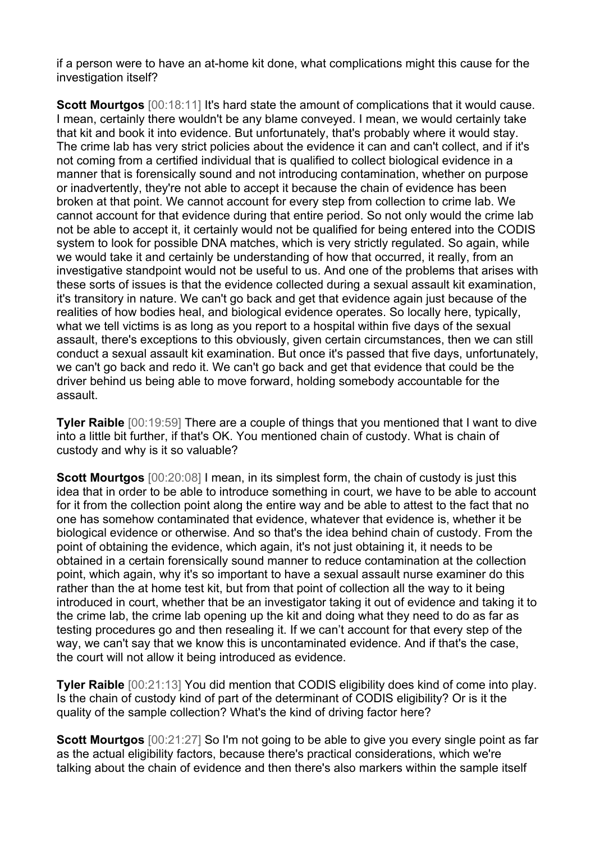if a person were to have an at-home kit done, what complications might this cause for the investigation itself?

**Scott Mourtgos**  $[00:18:11]$  It's hard state the amount of complications that it would cause. I mean, certainly there wouldn't be any blame conveyed. I mean, we would certainly take that kit and book it into evidence. But unfortunately, that's probably where it would stay. The crime lab has very strict policies about the evidence it can and can't collect, and if it's not coming from a certified individual that is qualified to collect biological evidence in a manner that is forensically sound and not introducing contamination, whether on purpose or inadvertently, they're not able to accept it because the chain of evidence has been broken at that point. We cannot account for every step from collection to crime lab. We cannot account for that evidence during that entire period. So not only would the crime lab not be able to accept it, it certainly would not be qualified for being entered into the CODIS system to look for possible DNA matches, which is very strictly regulated. So again, while we would take it and certainly be understanding of how that occurred, it really, from an investigative standpoint would not be useful to us. And one of the problems that arises with these sorts of issues is that the evidence collected during a sexual assault kit examination, it's transitory in nature. We can't go back and get that evidence again just because of the realities of how bodies heal, and biological evidence operates. So locally here, typically, what we tell victims is as long as you report to a hospital within five days of the sexual assault, there's exceptions to this obviously, given certain circumstances, then we can still conduct a sexual assault kit examination. But once it's passed that five days, unfortunately, we can't go back and redo it. We can't go back and get that evidence that could be the driver behind us being able to move forward, holding somebody accountable for the assault.

**Tyler Raible** [00:19:59] There are a couple of things that you mentioned that I want to dive into a little bit further, if that's OK. You mentioned chain of custody. What is chain of custody and why is it so valuable?

**Scott Mourtgos**  $[00:20:08]$  I mean, in its simplest form, the chain of custody is just this idea that in order to be able to introduce something in court, we have to be able to account for it from the collection point along the entire way and be able to attest to the fact that no one has somehow contaminated that evidence, whatever that evidence is, whether it be biological evidence or otherwise. And so that's the idea behind chain of custody. From the point of obtaining the evidence, which again, it's not just obtaining it, it needs to be obtained in a certain forensically sound manner to reduce contamination at the collection point, which again, why it's so important to have a sexual assault nurse examiner do this rather than the at home test kit, but from that point of collection all the way to it being introduced in court, whether that be an investigator taking it out of evidence and taking it to the crime lab, the crime lab opening up the kit and doing what they need to do as far as testing procedures go and then resealing it. If we can't account for that every step of the way, we can't say that we know this is uncontaminated evidence. And if that's the case, the court will not allow it being introduced as evidence.

**Tyler Raible** [00:21:13] You did mention that CODIS eligibility does kind of come into play. Is the chain of custody kind of part of the determinant of CODIS eligibility? Or is it the quality of the sample collection? What's the kind of driving factor here?

**Scott Mourtgos** [00:21:27] So I'm not going to be able to give you every single point as far as the actual eligibility factors, because there's practical considerations, which we're talking about the chain of evidence and then there's also markers within the sample itself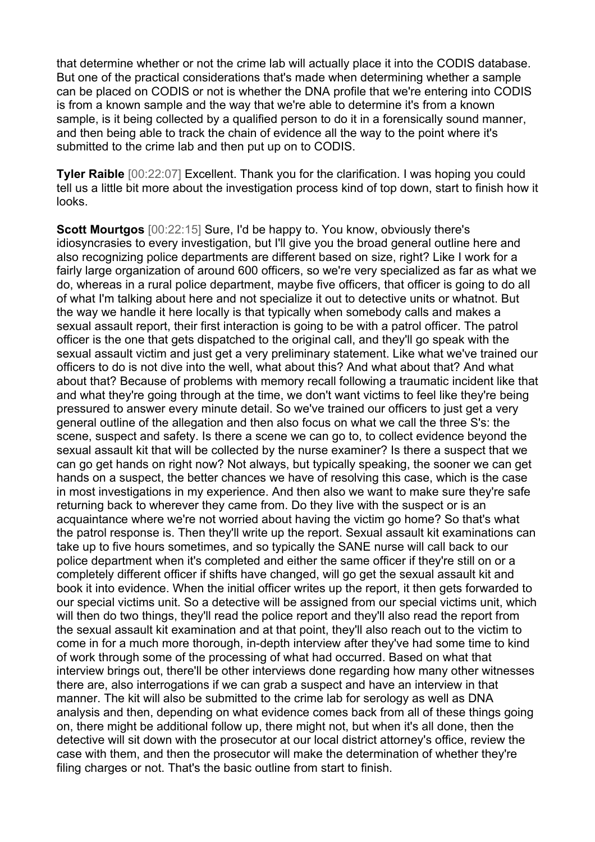that determine whether or not the crime lab will actually place it into the CODIS database. But one of the practical considerations that's made when determining whether a sample can be placed on CODIS or not is whether the DNA profile that we're entering into CODIS is from a known sample and the way that we're able to determine it's from a known sample, is it being collected by a qualified person to do it in a forensically sound manner, and then being able to track the chain of evidence all the way to the point where it's submitted to the crime lab and then put up on to CODIS.

**Tyler Raible** [00:22:07] Excellent. Thank you for the clarification. I was hoping you could tell us a little bit more about the investigation process kind of top down, start to finish how it looks.

**Scott Mourtgos** [00:22:15] Sure, I'd be happy to. You know, obviously there's idiosyncrasies to every investigation, but I'll give you the broad general outline here and also recognizing police departments are different based on size, right? Like I work for a fairly large organization of around 600 officers, so we're very specialized as far as what we do, whereas in a rural police department, maybe five officers, that officer is going to do all of what I'm talking about here and not specialize it out to detective units or whatnot. But the way we handle it here locally is that typically when somebody calls and makes a sexual assault report, their first interaction is going to be with a patrol officer. The patrol officer is the one that gets dispatched to the original call, and they'll go speak with the sexual assault victim and just get a very preliminary statement. Like what we've trained our officers to do is not dive into the well, what about this? And what about that? And what about that? Because of problems with memory recall following a traumatic incident like that and what they're going through at the time, we don't want victims to feel like they're being pressured to answer every minute detail. So we've trained our officers to just get a very general outline of the allegation and then also focus on what we call the three S's: the scene, suspect and safety. Is there a scene we can go to, to collect evidence beyond the sexual assault kit that will be collected by the nurse examiner? Is there a suspect that we can go get hands on right now? Not always, but typically speaking, the sooner we can get hands on a suspect, the better chances we have of resolving this case, which is the case in most investigations in my experience. And then also we want to make sure they're safe returning back to wherever they came from. Do they live with the suspect or is an acquaintance where we're not worried about having the victim go home? So that's what the patrol response is. Then they'll write up the report. Sexual assault kit examinations can take up to five hours sometimes, and so typically the SANE nurse will call back to our police department when it's completed and either the same officer if they're still on or a completely different officer if shifts have changed, will go get the sexual assault kit and book it into evidence. When the initial officer writes up the report, it then gets forwarded to our special victims unit. So a detective will be assigned from our special victims unit, which will then do two things, they'll read the police report and they'll also read the report from the sexual assault kit examination and at that point, they'll also reach out to the victim to come in for a much more thorough, in-depth interview after they've had some time to kind of work through some of the processing of what had occurred. Based on what that interview brings out, there'll be other interviews done regarding how many other witnesses there are, also interrogations if we can grab a suspect and have an interview in that manner. The kit will also be submitted to the crime lab for serology as well as DNA analysis and then, depending on what evidence comes back from all of these things going on, there might be additional follow up, there might not, but when it's all done, then the detective will sit down with the prosecutor at our local district attorney's office, review the case with them, and then the prosecutor will make the determination of whether they're filing charges or not. That's the basic outline from start to finish.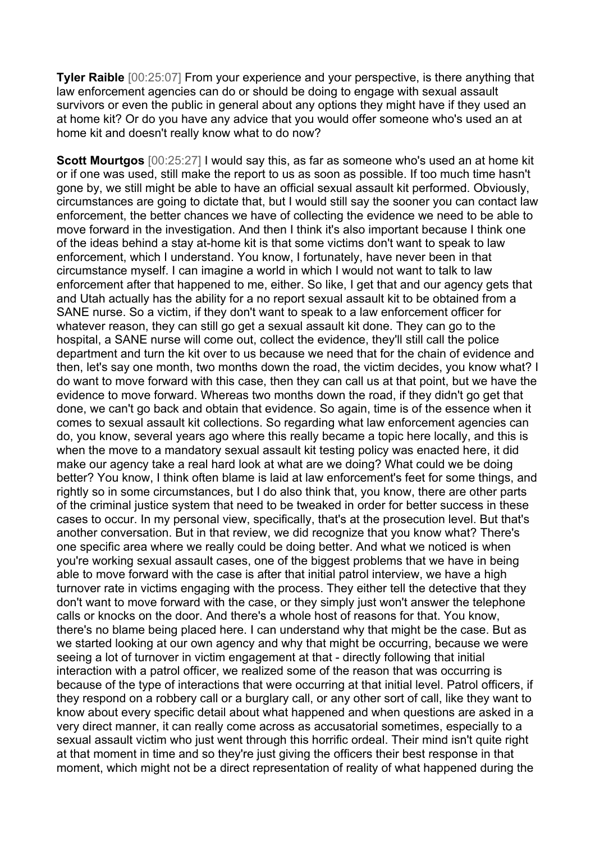**Tyler Raible** [00:25:07] From your experience and your perspective, is there anything that law enforcement agencies can do or should be doing to engage with sexual assault survivors or even the public in general about any options they might have if they used an at home kit? Or do you have any advice that you would offer someone who's used an at home kit and doesn't really know what to do now?

**Scott Mourtgos** [00:25:27] I would say this, as far as someone who's used an at home kit or if one was used, still make the report to us as soon as possible. If too much time hasn't gone by, we still might be able to have an official sexual assault kit performed. Obviously, circumstances are going to dictate that, but I would still say the sooner you can contact law enforcement, the better chances we have of collecting the evidence we need to be able to move forward in the investigation. And then I think it's also important because I think one of the ideas behind a stay at-home kit is that some victims don't want to speak to law enforcement, which I understand. You know, I fortunately, have never been in that circumstance myself. I can imagine a world in which I would not want to talk to law enforcement after that happened to me, either. So like, I get that and our agency gets that and Utah actually has the ability for a no report sexual assault kit to be obtained from a SANE nurse. So a victim, if they don't want to speak to a law enforcement officer for whatever reason, they can still go get a sexual assault kit done. They can go to the hospital, a SANE nurse will come out, collect the evidence, they'll still call the police department and turn the kit over to us because we need that for the chain of evidence and then, let's say one month, two months down the road, the victim decides, you know what? I do want to move forward with this case, then they can call us at that point, but we have the evidence to move forward. Whereas two months down the road, if they didn't go get that done, we can't go back and obtain that evidence. So again, time is of the essence when it comes to sexual assault kit collections. So regarding what law enforcement agencies can do, you know, several years ago where this really became a topic here locally, and this is when the move to a mandatory sexual assault kit testing policy was enacted here, it did make our agency take a real hard look at what are we doing? What could we be doing better? You know, I think often blame is laid at law enforcement's feet for some things, and rightly so in some circumstances, but I do also think that, you know, there are other parts of the criminal justice system that need to be tweaked in order for better success in these cases to occur. In my personal view, specifically, that's at the prosecution level. But that's another conversation. But in that review, we did recognize that you know what? There's one specific area where we really could be doing better. And what we noticed is when you're working sexual assault cases, one of the biggest problems that we have in being able to move forward with the case is after that initial patrol interview, we have a high turnover rate in victims engaging with the process. They either tell the detective that they don't want to move forward with the case, or they simply just won't answer the telephone calls or knocks on the door. And there's a whole host of reasons for that. You know, there's no blame being placed here. I can understand why that might be the case. But as we started looking at our own agency and why that might be occurring, because we were seeing a lot of turnover in victim engagement at that - directly following that initial interaction with a patrol officer, we realized some of the reason that was occurring is because of the type of interactions that were occurring at that initial level. Patrol officers, if they respond on a robbery call or a burglary call, or any other sort of call, like they want to know about every specific detail about what happened and when questions are asked in a very direct manner, it can really come across as accusatorial sometimes, especially to a sexual assault victim who just went through this horrific ordeal. Their mind isn't quite right at that moment in time and so they're just giving the officers their best response in that moment, which might not be a direct representation of reality of what happened during the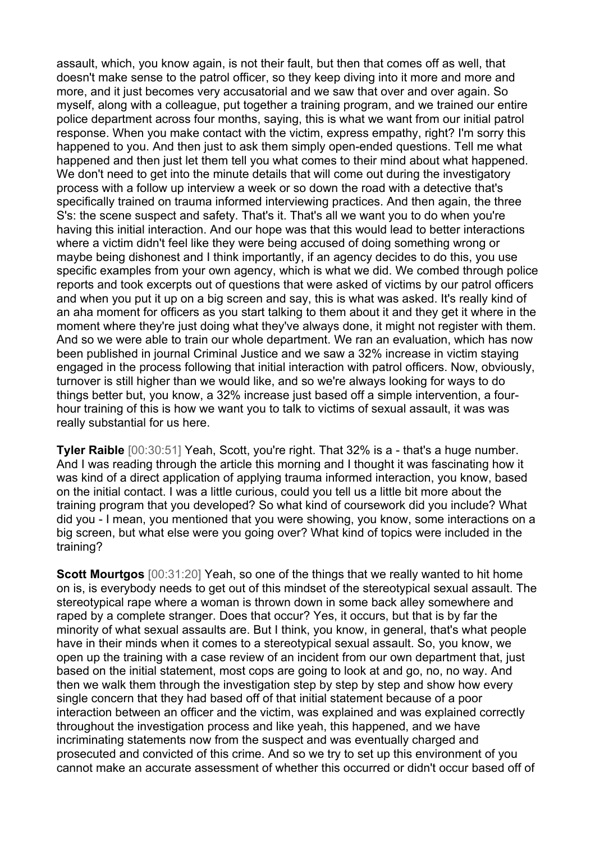assault, which, you know again, is not their fault, but then that comes off as well, that doesn't make sense to the patrol officer, so they keep diving into it more and more and more, and it just becomes very accusatorial and we saw that over and over again. So myself, along with a colleague, put together a training program, and we trained our entire police department across four months, saying, this is what we want from our initial patrol response. When you make contact with the victim, express empathy, right? I'm sorry this happened to you. And then just to ask them simply open-ended questions. Tell me what happened and then just let them tell you what comes to their mind about what happened. We don't need to get into the minute details that will come out during the investigatory process with a follow up interview a week or so down the road with a detective that's specifically trained on trauma informed interviewing practices. And then again, the three S's: the scene suspect and safety. That's it. That's all we want you to do when you're having this initial interaction. And our hope was that this would lead to better interactions where a victim didn't feel like they were being accused of doing something wrong or maybe being dishonest and I think importantly, if an agency decides to do this, you use specific examples from your own agency, which is what we did. We combed through police reports and took excerpts out of questions that were asked of victims by our patrol officers and when you put it up on a big screen and say, this is what was asked. It's really kind of an aha moment for officers as you start talking to them about it and they get it where in the moment where they're just doing what they've always done, it might not register with them. And so we were able to train our whole department. We ran an evaluation, which has now been published in journal Criminal Justice and we saw a 32% increase in victim staying engaged in the process following that initial interaction with patrol officers. Now, obviously, turnover is still higher than we would like, and so we're always looking for ways to do things better but, you know, a 32% increase just based off a simple intervention, a fourhour training of this is how we want you to talk to victims of sexual assault, it was was really substantial for us here.

**Tyler Raible** [00:30:51] Yeah, Scott, you're right. That 32% is a - that's a huge number. And I was reading through the article this morning and I thought it was fascinating how it was kind of a direct application of applying trauma informed interaction, you know, based on the initial contact. I was a little curious, could you tell us a little bit more about the training program that you developed? So what kind of coursework did you include? What did you - I mean, you mentioned that you were showing, you know, some interactions on a big screen, but what else were you going over? What kind of topics were included in the training?

**Scott Mourtgos** [00:31:20] Yeah, so one of the things that we really wanted to hit home on is, is everybody needs to get out of this mindset of the stereotypical sexual assault. The stereotypical rape where a woman is thrown down in some back alley somewhere and raped by a complete stranger. Does that occur? Yes, it occurs, but that is by far the minority of what sexual assaults are. But I think, you know, in general, that's what people have in their minds when it comes to a stereotypical sexual assault. So, you know, we open up the training with a case review of an incident from our own department that, just based on the initial statement, most cops are going to look at and go, no, no way. And then we walk them through the investigation step by step by step and show how every single concern that they had based off of that initial statement because of a poor interaction between an officer and the victim, was explained and was explained correctly throughout the investigation process and like yeah, this happened, and we have incriminating statements now from the suspect and was eventually charged and prosecuted and convicted of this crime. And so we try to set up this environment of you cannot make an accurate assessment of whether this occurred or didn't occur based off of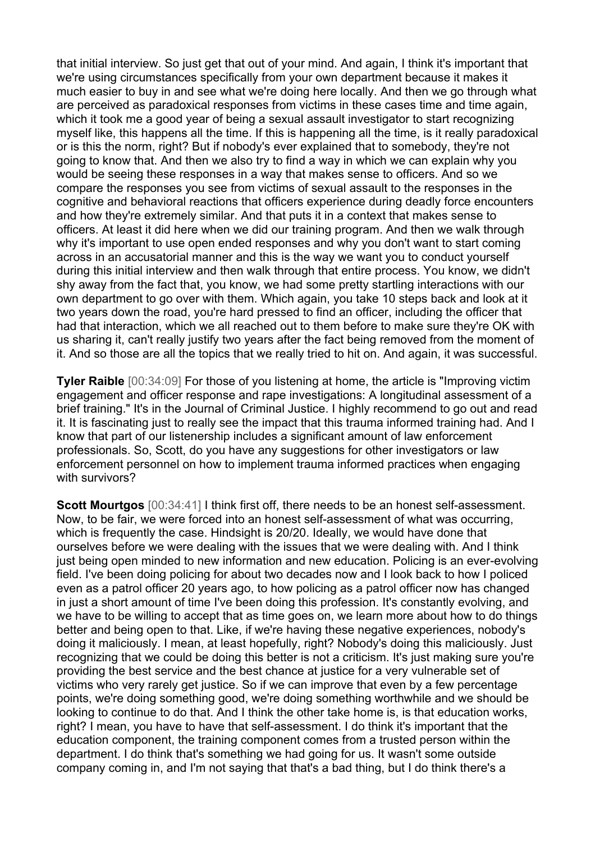that initial interview. So just get that out of your mind. And again, I think it's important that we're using circumstances specifically from your own department because it makes it much easier to buy in and see what we're doing here locally. And then we go through what are perceived as paradoxical responses from victims in these cases time and time again, which it took me a good year of being a sexual assault investigator to start recognizing myself like, this happens all the time. If this is happening all the time, is it really paradoxical or is this the norm, right? But if nobody's ever explained that to somebody, they're not going to know that. And then we also try to find a way in which we can explain why you would be seeing these responses in a way that makes sense to officers. And so we compare the responses you see from victims of sexual assault to the responses in the cognitive and behavioral reactions that officers experience during deadly force encounters and how they're extremely similar. And that puts it in a context that makes sense to officers. At least it did here when we did our training program. And then we walk through why it's important to use open ended responses and why you don't want to start coming across in an accusatorial manner and this is the way we want you to conduct yourself during this initial interview and then walk through that entire process. You know, we didn't shy away from the fact that, you know, we had some pretty startling interactions with our own department to go over with them. Which again, you take 10 steps back and look at it two years down the road, you're hard pressed to find an officer, including the officer that had that interaction, which we all reached out to them before to make sure they're OK with us sharing it, can't really justify two years after the fact being removed from the moment of it. And so those are all the topics that we really tried to hit on. And again, it was successful.

**Tyler Raible** [00:34:09] For those of you listening at home, the article is "Improving victim engagement and officer response and rape investigations: A longitudinal assessment of a brief training." It's in the Journal of Criminal Justice. I highly recommend to go out and read it. It is fascinating just to really see the impact that this trauma informed training had. And I know that part of our listenership includes a significant amount of law enforcement professionals. So, Scott, do you have any suggestions for other investigators or law enforcement personnel on how to implement trauma informed practices when engaging with survivors?

**Scott Mourtgos** [00:34:41] I think first off, there needs to be an honest self-assessment. Now, to be fair, we were forced into an honest self-assessment of what was occurring, which is frequently the case. Hindsight is 20/20. Ideally, we would have done that ourselves before we were dealing with the issues that we were dealing with. And I think just being open minded to new information and new education. Policing is an ever-evolving field. I've been doing policing for about two decades now and I look back to how I policed even as a patrol officer 20 years ago, to how policing as a patrol officer now has changed in just a short amount of time I've been doing this profession. It's constantly evolving, and we have to be willing to accept that as time goes on, we learn more about how to do things better and being open to that. Like, if we're having these negative experiences, nobody's doing it maliciously. I mean, at least hopefully, right? Nobody's doing this maliciously. Just recognizing that we could be doing this better is not a criticism. It's just making sure you're providing the best service and the best chance at justice for a very vulnerable set of victims who very rarely get justice. So if we can improve that even by a few percentage points, we're doing something good, we're doing something worthwhile and we should be looking to continue to do that. And I think the other take home is, is that education works, right? I mean, you have to have that self-assessment. I do think it's important that the education component, the training component comes from a trusted person within the department. I do think that's something we had going for us. It wasn't some outside company coming in, and I'm not saying that that's a bad thing, but I do think there's a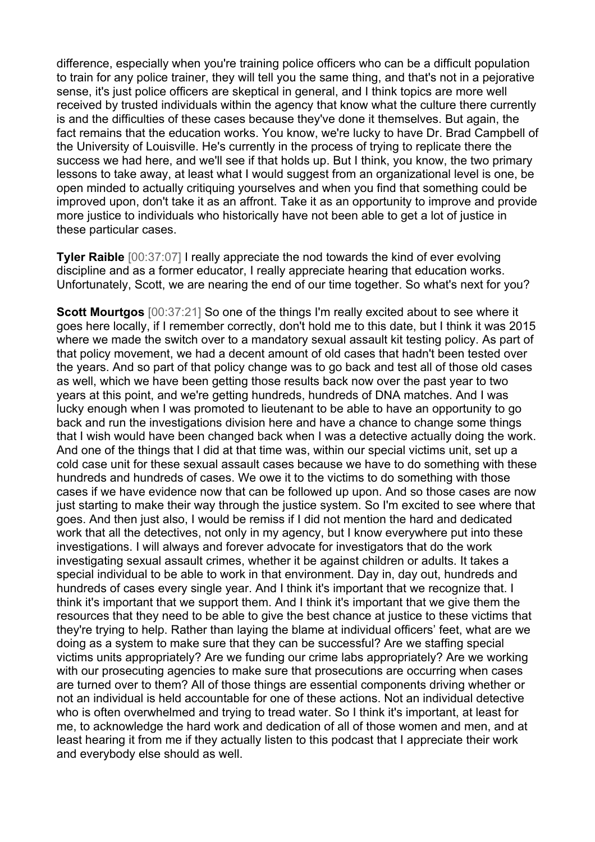difference, especially when you're training police officers who can be a difficult population to train for any police trainer, they will tell you the same thing, and that's not in a pejorative sense, it's just police officers are skeptical in general, and I think topics are more well received by trusted individuals within the agency that know what the culture there currently is and the difficulties of these cases because they've done it themselves. But again, the fact remains that the education works. You know, we're lucky to have Dr. Brad Campbell of the University of Louisville. He's currently in the process of trying to replicate there the success we had here, and we'll see if that holds up. But I think, you know, the two primary lessons to take away, at least what I would suggest from an organizational level is one, be open minded to actually critiquing yourselves and when you find that something could be improved upon, don't take it as an affront. Take it as an opportunity to improve and provide more justice to individuals who historically have not been able to get a lot of justice in these particular cases.

**Tyler Raible** [00:37:07] I really appreciate the nod towards the kind of ever evolving discipline and as a former educator, I really appreciate hearing that education works. Unfortunately, Scott, we are nearing the end of our time together. So what's next for you?

**Scott Mourtgos** [00:37:21] So one of the things I'm really excited about to see where it goes here locally, if I remember correctly, don't hold me to this date, but I think it was 2015 where we made the switch over to a mandatory sexual assault kit testing policy. As part of that policy movement, we had a decent amount of old cases that hadn't been tested over the years. And so part of that policy change was to go back and test all of those old cases as well, which we have been getting those results back now over the past year to two years at this point, and we're getting hundreds, hundreds of DNA matches. And I was lucky enough when I was promoted to lieutenant to be able to have an opportunity to go back and run the investigations division here and have a chance to change some things that I wish would have been changed back when I was a detective actually doing the work. And one of the things that I did at that time was, within our special victims unit, set up a cold case unit for these sexual assault cases because we have to do something with these hundreds and hundreds of cases. We owe it to the victims to do something with those cases if we have evidence now that can be followed up upon. And so those cases are now just starting to make their way through the justice system. So I'm excited to see where that goes. And then just also, I would be remiss if I did not mention the hard and dedicated work that all the detectives, not only in my agency, but I know everywhere put into these investigations. I will always and forever advocate for investigators that do the work investigating sexual assault crimes, whether it be against children or adults. It takes a special individual to be able to work in that environment. Day in, day out, hundreds and hundreds of cases every single year. And I think it's important that we recognize that. I think it's important that we support them. And I think it's important that we give them the resources that they need to be able to give the best chance at justice to these victims that they're trying to help. Rather than laying the blame at individual officers' feet, what are we doing as a system to make sure that they can be successful? Are we staffing special victims units appropriately? Are we funding our crime labs appropriately? Are we working with our prosecuting agencies to make sure that prosecutions are occurring when cases are turned over to them? All of those things are essential components driving whether or not an individual is held accountable for one of these actions. Not an individual detective who is often overwhelmed and trying to tread water. So I think it's important, at least for me, to acknowledge the hard work and dedication of all of those women and men, and at least hearing it from me if they actually listen to this podcast that I appreciate their work and everybody else should as well.